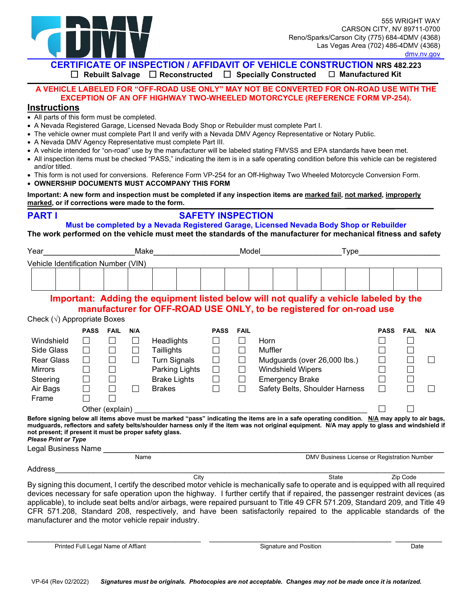

**CERTIFICATE OF INSPECTION / AFFIDAVIT OF VEHICLE CONSTRUCTION NRS 482.223**<br>□ Rebuilt Salvage □ Reconstructed □ Specially Constructed □ Manufactured Kit

 **Rebuilt Salvage Reconstructed Specially Constructed Manufactured Kit** 

## **A VEHICLE LABELED FOR "OFF-ROAD USE ONLY" MAY NOT BE CONVERTED FOR ON-ROAD USE WITH THE EXCEPTION OF AN OFF HIGHWAY TWO-WHEELED MOTORCYCLE (REFERENCE FORM VP-254).**

## **Instructions**

- All parts of this form must be completed.
- A Nevada Registered Garage, Licensed Nevada Body Shop or Rebuilder must complete Part I.
- The vehicle owner must complete Part II and verify with a Nevada DMV Agency Representative or Notary Public.
- A Nevada DMV Agency Representative must complete Part III.
- A vehicle intended for "on-road" use by the manufacturer will be labeled stating FMVSS and EPA standards have been met.
- • All inspection items must be checked "PASS," indicating the item is in a safe operating condition before this vehicle can be registered and/or titled.
- • This form is not used for conversions. Reference Form VP-254 for an Off-Highway Two Wheeled Motorcycle Conversion Form. • **OWNERSHIP DOCUMENTS MUST ACCOMPANY THIS FORM**
- **marked, or if corrections were made to the form. Important: A new form and inspection must be completed if any inspection items are marked fail, not marked, improperly**

**PART I** 

## **SAFETY INSPECTION**

**Must be completed by a Nevada Registered Garage, Licensed Nevada Body Shop or Rebuilder** 

**The work performed on the vehicle must meet the standards of the manufacturer for mechanical fitness and safety** 

| Year                                                                                   |             |                 | Make   |                                                                                                                                                                                                                                                                                                |             | Model       |                                             |                              | Type <sub>.</sub>              |             |             |     |  |  |
|----------------------------------------------------------------------------------------|-------------|-----------------|--------|------------------------------------------------------------------------------------------------------------------------------------------------------------------------------------------------------------------------------------------------------------------------------------------------|-------------|-------------|---------------------------------------------|------------------------------|--------------------------------|-------------|-------------|-----|--|--|
| Vehicle Identification Number (VIN)                                                    |             |                 |        |                                                                                                                                                                                                                                                                                                |             |             |                                             |                              |                                |             |             |     |  |  |
|                                                                                        |             |                 |        |                                                                                                                                                                                                                                                                                                |             |             |                                             |                              |                                |             |             |     |  |  |
|                                                                                        |             |                 |        |                                                                                                                                                                                                                                                                                                |             |             |                                             |                              |                                |             |             |     |  |  |
|                                                                                        |             |                 |        |                                                                                                                                                                                                                                                                                                |             |             |                                             |                              |                                |             |             |     |  |  |
|                                                                                        |             |                 |        | Important: Adding the equipment listed below will not qualify a vehicle labeled by the                                                                                                                                                                                                         |             |             |                                             |                              |                                |             |             |     |  |  |
|                                                                                        |             |                 |        | manufacturer for OFF-ROAD USE ONLY, to be registered for on-road use                                                                                                                                                                                                                           |             |             |                                             |                              |                                |             |             |     |  |  |
| Check $(\sqrt{})$ Appropriate Boxes                                                    |             |                 |        |                                                                                                                                                                                                                                                                                                |             |             |                                             |                              |                                |             |             |     |  |  |
|                                                                                        | <b>PASS</b> | <b>FAIL</b>     | N/A    |                                                                                                                                                                                                                                                                                                | <b>PASS</b> | <b>FAIL</b> |                                             |                              |                                | <b>PASS</b> | <b>FAIL</b> | N/A |  |  |
| Windshield                                                                             | П           | П               | П      | Headlights                                                                                                                                                                                                                                                                                     | $\Box$      | П           | Horn                                        |                              |                                |             |             |     |  |  |
| Side Glass                                                                             | П           | $\Box$          | $\Box$ | Taillights                                                                                                                                                                                                                                                                                     | $\Box$      | $\Box$      | Muffler                                     |                              |                                | П           |             |     |  |  |
| <b>Rear Glass</b>                                                                      | П           | $\Box$          | П      | <b>Turn Signals</b>                                                                                                                                                                                                                                                                            | $\Box$      | $\Box$      |                                             | Mudguards (over 26,000 lbs.) |                                |             |             |     |  |  |
| <b>Mirrors</b>                                                                         | П           | $\Box$          |        | Parking Lights                                                                                                                                                                                                                                                                                 | $\Box$      | $\Box$      | <b>Windshield Wipers</b>                    | $\Box$                       |                                |             |             |     |  |  |
| Steering                                                                               |             | $\Box$          |        | <b>Brake Lights</b>                                                                                                                                                                                                                                                                            | $\Box$      | $\Box$      |                                             | <b>Emergency Brake</b>       |                                |             |             |     |  |  |
| Air Bags                                                                               |             | $\Box$          |        | <b>Brakes</b>                                                                                                                                                                                                                                                                                  | П           | П           |                                             |                              | Safety Belts, Shoulder Harness | П           |             |     |  |  |
| Frame                                                                                  |             |                 |        |                                                                                                                                                                                                                                                                                                |             |             |                                             |                              |                                |             |             |     |  |  |
|                                                                                        |             | Other (explain) |        |                                                                                                                                                                                                                                                                                                |             |             |                                             |                              |                                |             |             |     |  |  |
| not present; if present it must be proper safety glass.<br><b>Please Print or Type</b> |             |                 |        | Before signing below all items above must be marked "pass" indicating the items are in a safe operating condition. N/A may apply to air bags,<br>mudguards, reflectors and safety belts/shoulder harness only if the item was not original equipment. N/A may apply to glass and windshield if |             |             |                                             |                              |                                |             |             |     |  |  |
| Legal Business Name ___                                                                |             |                 |        |                                                                                                                                                                                                                                                                                                |             |             |                                             |                              |                                |             |             |     |  |  |
| Name                                                                                   |             |                 |        |                                                                                                                                                                                                                                                                                                |             |             | DMV Business License or Registration Number |                              |                                |             |             |     |  |  |
| Address                                                                                |             |                 |        |                                                                                                                                                                                                                                                                                                |             |             |                                             |                              |                                |             |             |     |  |  |
|                                                                                        |             |                 |        | City                                                                                                                                                                                                                                                                                           |             |             |                                             |                              | <b>State</b>                   |             | Zip Code    |     |  |  |
|                                                                                        |             |                 |        | By signing this document, I certify the described motor vehicle is mechanically safe to operate and is equipped with all required<br>devices necessary for safe operation upon the highway. I further certify that if repaired, the passenger restraint devices (as                            |             |             |                                             |                              |                                |             |             |     |  |  |

 CFR 571.208, Standard 208, respectively, and have been satisfactorily repaired to the applicable standards of the devices necessary for safe operation upon the highway. I further certify that if repaired, the passenger restraint devices (as applicable), to include seat belts and/or airbags, were repaired pursuant to Title 49 CFR 571.209, Standard 209, and Title 49 manufacturer and the motor vehicle repair industry.

Printed Full Legal Name of Affiant Signature and Position Date \_\_\_\_\_\_\_\_\_\_\_\_\_\_\_\_\_\_\_\_\_\_\_\_\_\_\_\_\_\_\_\_\_\_\_\_\_\_\_\_\_ \_\_\_\_\_\_\_\_\_\_\_\_\_\_\_\_\_\_\_\_\_\_\_\_\_\_\_\_\_\_\_\_\_\_\_\_\_\_\_\_\_\_\_ \_\_\_\_\_\_\_\_\_\_\_